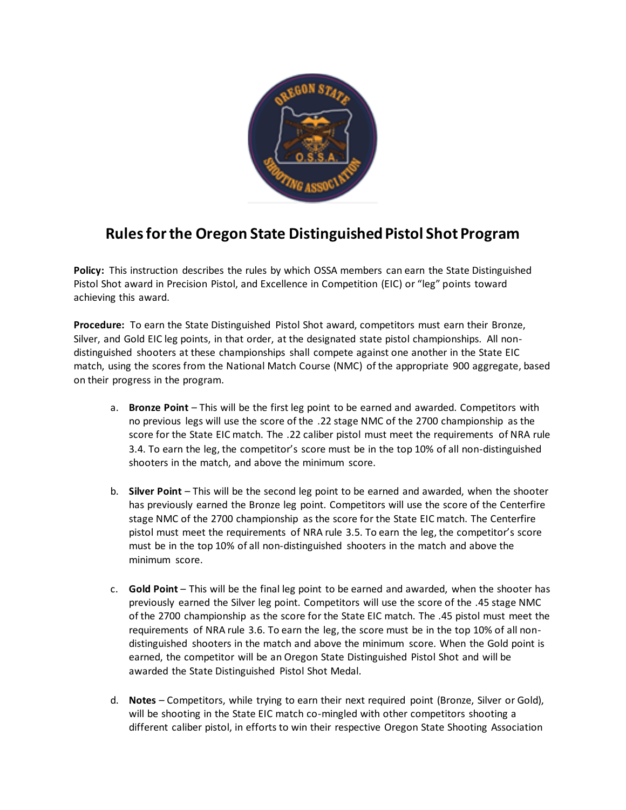

## **Rules for the Oregon State Distinguished Pistol Shot Program**

**Policy:** This instruction describes the rules by which OSSA members can earn the State Distinguished Pistol Shot award in Precision Pistol, and Excellence in Competition (EIC) or "leg" points toward achieving this award.

**Procedure:** To earn the State Distinguished Pistol Shot award, competitors must earn their Bronze, Silver, and Gold EIC leg points, in that order, at the designated state pistol championships. All nondistinguished shooters at these championships shall compete against one another in the State EIC match, using the scores from the National Match Course (NMC) of the appropriate 900 aggregate, based on their progress in the program.

- a. **Bronze Point** This will be the first leg point to be earned and awarded. Competitors with no previous legs will use the score of the .22 stage NMC of the 2700 championship as the score for the State EIC match. The .22 caliber pistol must meet the requirements of NRA rule 3.4. To earn the leg, the competitor's score must be in the top 10% of all non-distinguished shooters in the match, and above the minimum score.
- b. **Silver Point** This will be the second leg point to be earned and awarded, when the shooter has previously earned the Bronze leg point. Competitors will use the score of the Centerfire stage NMC of the 2700 championship as the score for the State EIC match. The Centerfire pistol must meet the requirements of NRA rule 3.5. To earn the leg, the competitor's score must be in the top 10% of all non-distinguished shooters in the match and above the minimum score.
- c. **Gold Point** This will be the final leg point to be earned and awarded, when the shooter has previously earned the Silver leg point. Competitors will use the score of the .45 stage NMC of the 2700 championship as the score for the State EIC match. The .45 pistol must meet the requirements of NRA rule 3.6. To earn the leg, the score must be in the top 10% of all nondistinguished shooters in the match and above the minimum score. When the Gold point is earned, the competitor will be an Oregon State Distinguished Pistol Shot and will be awarded the State Distinguished Pistol Shot Medal.
- d. **Notes**  Competitors, while trying to earn their next required point (Bronze, Silver or Gold), will be shooting in the State EIC match co-mingled with other competitors shooting a different caliber pistol, in efforts to win their respective Oregon State Shooting Association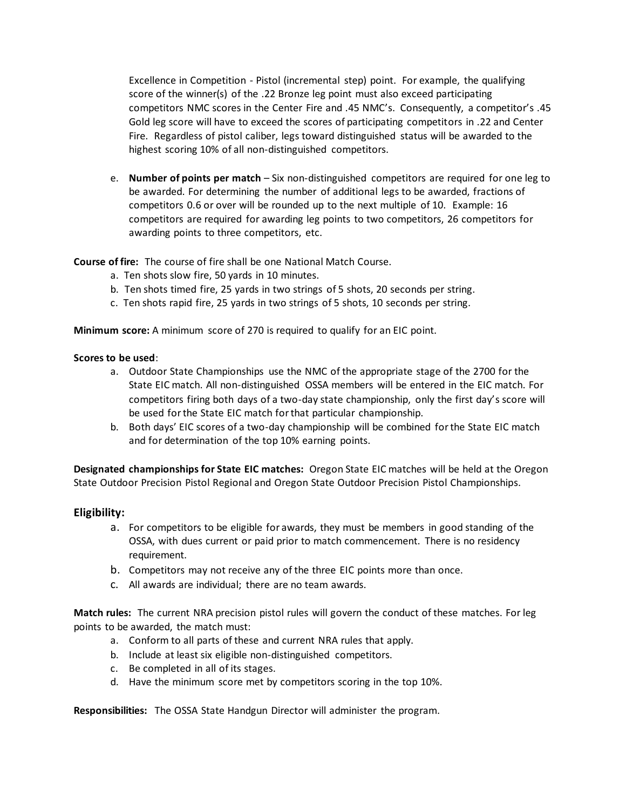Excellence in Competition - Pistol (incremental step) point. For example, the qualifying score of the winner(s) of the .22 Bronze leg point must also exceed participating competitors NMC scores in the Center Fire and .45 NMC's. Consequently, a competitor's .45 Gold leg score will have to exceed the scores of participating competitors in .22 and Center Fire. Regardless of pistol caliber, legs toward distinguished status will be awarded to the highest scoring 10% of all non-distinguished competitors.

e. **Number of points per match** – Six non-distinguished competitors are required for one leg to be awarded. For determining the number of additional legs to be awarded, fractions of competitors 0.6 or over will be rounded up to the next multiple of 10. Example: 16 competitors are required for awarding leg points to two competitors, 26 competitors for awarding points to three competitors, etc.

**Course of fire:** The course of fire shall be one National Match Course.

- a. Ten shots slow fire, 50 yards in 10 minutes.
- b. Ten shots timed fire, 25 yards in two strings of 5 shots, 20 seconds per string.
- c. Ten shots rapid fire, 25 yards in two strings of 5 shots, 10 seconds per string.

**Minimum score:** A minimum score of 270 is required to qualify for an EIC point.

## **Scores to be used**:

- a. Outdoor State Championships use the NMC of the appropriate stage of the 2700 for the State EIC match. All non-distinguished OSSA members will be entered in the EIC match. For competitors firing both days of a two-day state championship, only the first day's score will be used for the State EIC match for that particular championship.
- b. Both days' EIC scores of a two-day championship will be combined for the State EIC match and for determination of the top 10% earning points.

**Designated championships for State EIC matches:** Oregon State EIC matches will be held at the Oregon State Outdoor Precision Pistol Regional and Oregon State Outdoor Precision Pistol Championships.

## **Eligibility:**

- a. For competitors to be eligible for awards, they must be members in good standing of the OSSA, with dues current or paid prior to match commencement. There is no residency requirement.
- b. Competitors may not receive any of the three EIC points more than once.
- c. All awards are individual; there are no team awards.

**Match rules:** The current NRA precision pistol rules will govern the conduct of these matches. For leg points to be awarded, the match must:

- a. Conform to all parts of these and current NRA rules that apply.
- b. Include at least six eligible non-distinguished competitors.
- c. Be completed in all of its stages.
- d. Have the minimum score met by competitors scoring in the top 10%.

**Responsibilities:** The OSSA State Handgun Director will administer the program.